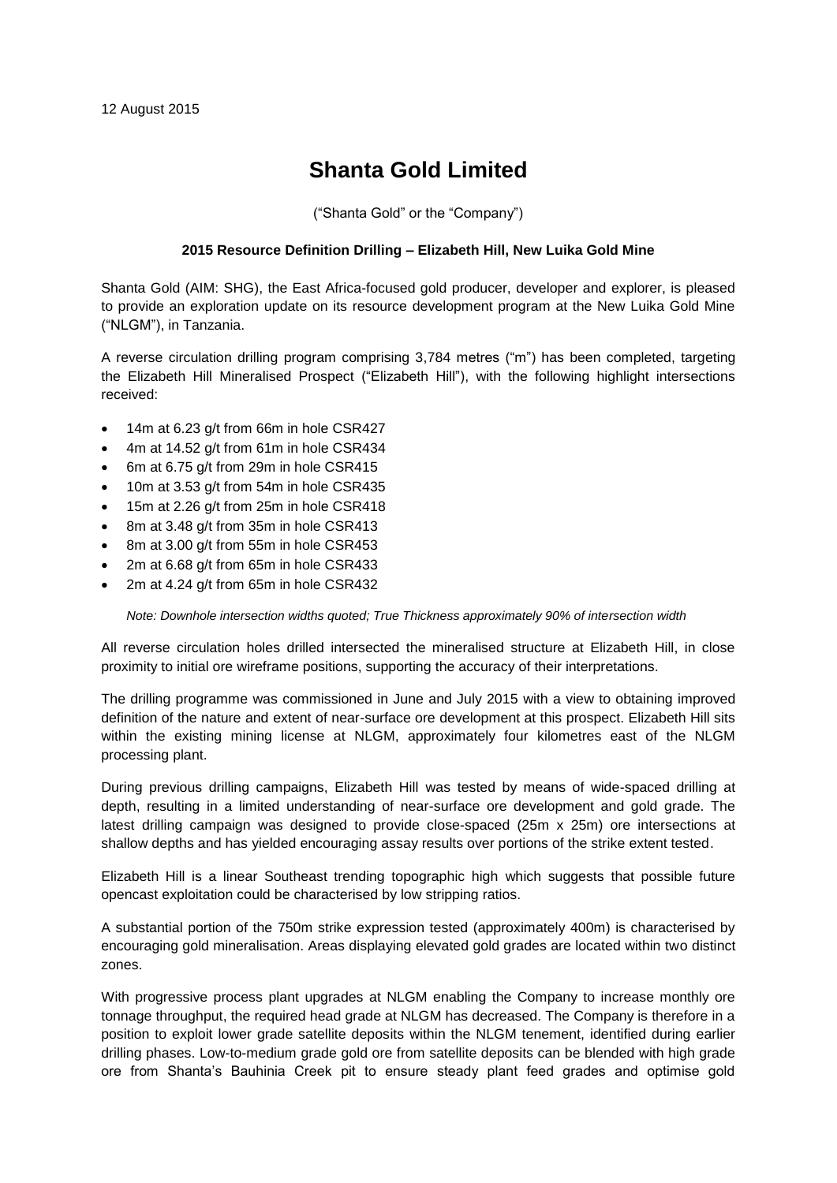# **Shanta Gold Limited**

("Shanta Gold" or the "Company")

### **2015 Resource Definition Drilling – Elizabeth Hill, New Luika Gold Mine**

Shanta Gold (AIM: SHG), the East Africa-focused gold producer, developer and explorer, is pleased to provide an exploration update on its resource development program at the New Luika Gold Mine ("NLGM"), in Tanzania.

A reverse circulation drilling program comprising 3,784 metres ("m") has been completed, targeting the Elizabeth Hill Mineralised Prospect ("Elizabeth Hill"), with the following highlight intersections received:

- 14m at 6.23 g/t from 66m in hole CSR427
- 4m at 14.52 g/t from 61m in hole CSR434
- 6m at 6.75 g/t from 29m in hole CSR415
- 10m at 3.53 g/t from 54m in hole CSR435
- 15m at 2.26 g/t from 25m in hole CSR418
- 8m at 3.48 g/t from 35m in hole CSR413
- 8m at 3.00 g/t from 55m in hole CSR453
- 2m at 6.68 g/t from 65m in hole CSR433
- 2m at 4.24 g/t from 65m in hole CSR432

*Note: Downhole intersection widths quoted; True Thickness approximately 90% of intersection width*

All reverse circulation holes drilled intersected the mineralised structure at Elizabeth Hill, in close proximity to initial ore wireframe positions, supporting the accuracy of their interpretations.

The drilling programme was commissioned in June and July 2015 with a view to obtaining improved definition of the nature and extent of near-surface ore development at this prospect. Elizabeth Hill sits within the existing mining license at NLGM, approximately four kilometres east of the NLGM processing plant.

During previous drilling campaigns, Elizabeth Hill was tested by means of wide-spaced drilling at depth, resulting in a limited understanding of near-surface ore development and gold grade. The latest drilling campaign was designed to provide close-spaced (25m x 25m) ore intersections at shallow depths and has yielded encouraging assay results over portions of the strike extent tested.

Elizabeth Hill is a linear Southeast trending topographic high which suggests that possible future opencast exploitation could be characterised by low stripping ratios.

A substantial portion of the 750m strike expression tested (approximately 400m) is characterised by encouraging gold mineralisation. Areas displaying elevated gold grades are located within two distinct zones.

With progressive process plant upgrades at NLGM enabling the Company to increase monthly ore tonnage throughput, the required head grade at NLGM has decreased. The Company is therefore in a position to exploit lower grade satellite deposits within the NLGM tenement, identified during earlier drilling phases. Low-to-medium grade gold ore from satellite deposits can be blended with high grade ore from Shanta's Bauhinia Creek pit to ensure steady plant feed grades and optimise gold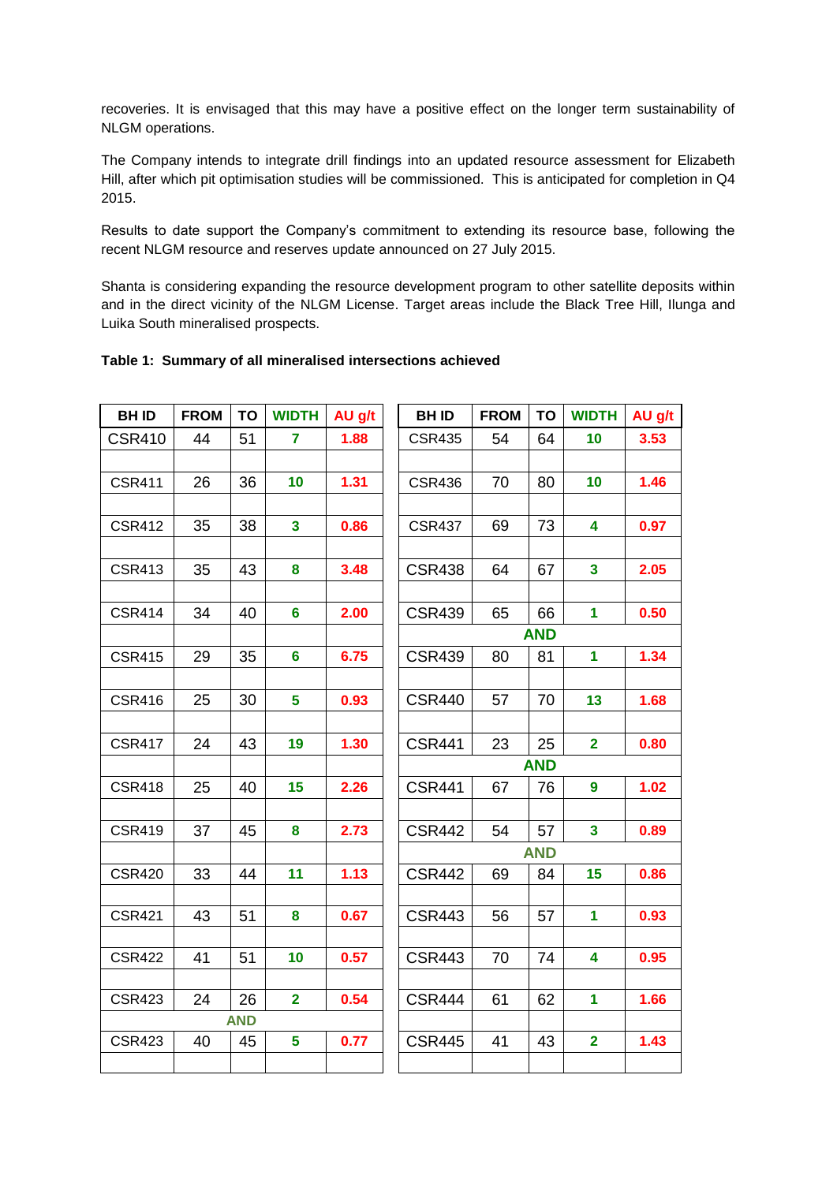recoveries. It is envisaged that this may have a positive effect on the longer term sustainability of NLGM operations.

The Company intends to integrate drill findings into an updated resource assessment for Elizabeth Hill, after which pit optimisation studies will be commissioned. This is anticipated for completion in Q4 2015.

Results to date support the Company's commitment to extending its resource base, following the recent NLGM resource and reserves update announced on 27 July 2015.

Shanta is considering expanding the resource development program to other satellite deposits within and in the direct vicinity of the NLGM License. Target areas include the Black Tree Hill, Ilunga and Luika South mineralised prospects.

| <b>BHID</b>   | <b>FROM</b> | TO               | <b>WIDTH</b>            | AU g/t | <b>BHID</b>   | <b>FROM</b> | <b>TO</b>  | <b>WIDTH</b>            | AU g/t |
|---------------|-------------|------------------|-------------------------|--------|---------------|-------------|------------|-------------------------|--------|
| <b>CSR410</b> | 44          | 51               | $\overline{7}$          | 1.88   | <b>CSR435</b> | 54          | 64         | 10                      | 3.53   |
|               |             |                  |                         |        |               |             |            |                         |        |
| <b>CSR411</b> | 26          | 36               | 10                      | 1.31   | <b>CSR436</b> | 70          | 80         | 10                      | 1.46   |
|               |             |                  |                         |        |               |             |            |                         |        |
| <b>CSR412</b> | 35          | 38               | $\overline{\mathbf{3}}$ | 0.86   | <b>CSR437</b> | 69          | 73         | 4                       | 0.97   |
|               |             |                  |                         |        |               |             |            |                         |        |
| <b>CSR413</b> | 35          | 43               | 8                       | 3.48   | <b>CSR438</b> | 64          | 67         | 3                       | 2.05   |
|               |             |                  |                         |        |               |             |            |                         |        |
| <b>CSR414</b> | 34          | 40               | 6                       | 2.00   | <b>CSR439</b> | 65          | 66         | $\mathbf 1$             | 0.50   |
|               |             |                  |                         |        |               |             | <b>AND</b> |                         |        |
| <b>CSR415</b> | 29          | 35               | $6\phantom{a}$          | 6.75   | <b>CSR439</b> | 80          | 81         | 1                       | 1.34   |
|               |             |                  |                         |        |               |             |            |                         |        |
| <b>CSR416</b> | 25          | 30               | 5                       | 0.93   | <b>CSR440</b> | 57          | 70         | 13                      | 1.68   |
|               |             |                  |                         |        |               |             |            |                         |        |
| <b>CSR417</b> | 24          | 43               | 19                      | 1.30   | <b>CSR441</b> | 23          | 25         | $\overline{\mathbf{2}}$ | 0.80   |
|               |             |                  |                         |        |               |             | <b>AND</b> |                         |        |
| <b>CSR418</b> | 25          | 40               | 15                      | 2.26   | <b>CSR441</b> | 67          | 76         | $\boldsymbol{9}$        | 1.02   |
|               |             |                  |                         |        |               |             |            |                         |        |
| <b>CSR419</b> | 37          | 45               | 8                       | 2.73   | <b>CSR442</b> | 54          | 57         | $\mathbf{3}$            | 0.89   |
|               |             |                  |                         |        |               |             | <b>AND</b> |                         |        |
| <b>CSR420</b> | 33          | 44               | 11                      | 1.13   | <b>CSR442</b> | 69          | 84         | 15                      | 0.86   |
|               |             |                  |                         |        |               |             |            |                         |        |
| <b>CSR421</b> | 43          | 51               | 8                       | 0.67   | <b>CSR443</b> | 56          | 57         | 1                       | 0.93   |
|               |             |                  |                         |        |               |             |            |                         |        |
| <b>CSR422</b> | 41          | 51               | 10                      | 0.57   | <b>CSR443</b> | 70          | 74         | $\overline{\mathbf{4}}$ | 0.95   |
|               |             |                  |                         |        |               |             |            |                         |        |
| <b>CSR423</b> | 24          | 26<br><b>AND</b> | $\overline{2}$          | 0.54   | <b>CSR444</b> | 61          | 62         | 1                       | 1.66   |
| <b>CSR423</b> | 40          | 45               | 5                       | 0.77   | <b>CSR445</b> | 41          | 43         | $\overline{\mathbf{2}}$ | 1.43   |
|               |             |                  |                         |        |               |             |            |                         |        |
|               |             |                  |                         |        |               |             |            |                         |        |

### **Table 1: Summary of all mineralised intersections achieved**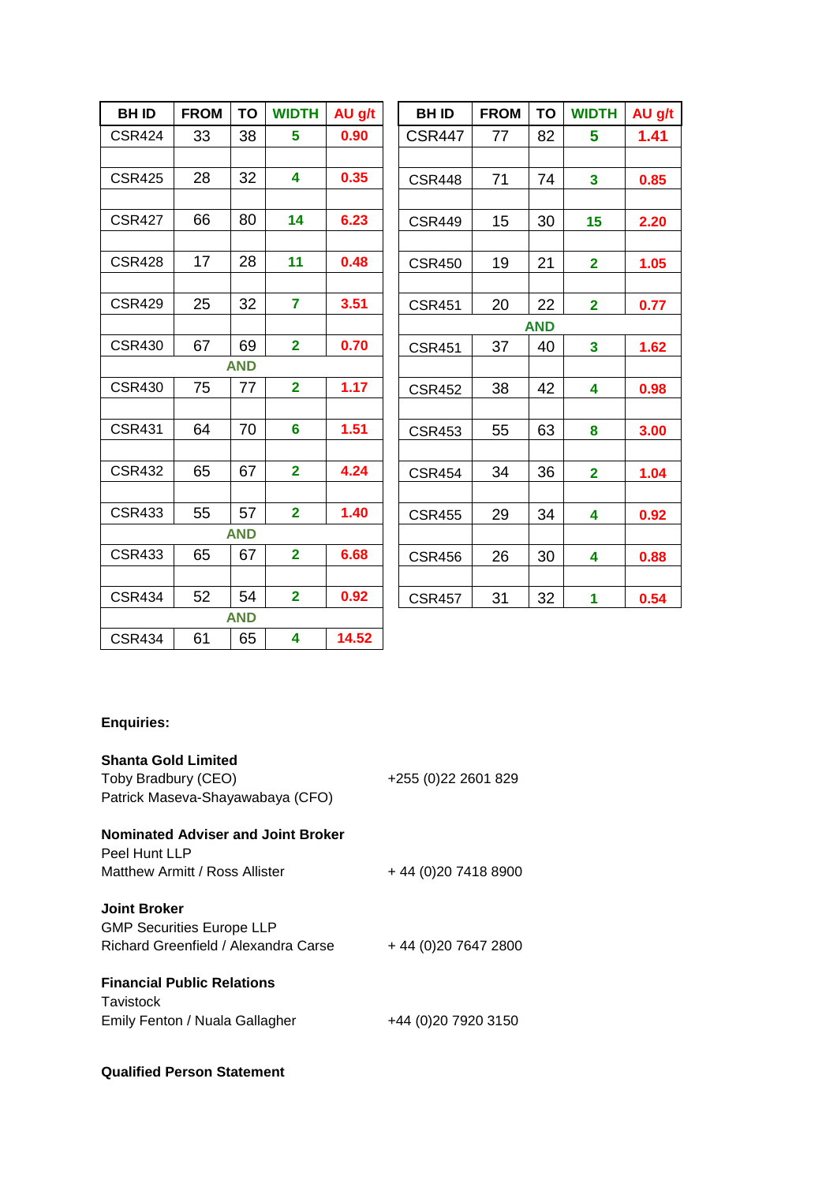| <b>BHID</b>   | <b>FROM</b> | TO         | <b>WIDTH</b>            | AU g/t | <b>BHID</b>   | <b>FROM</b> | <b>TO</b>  | <b>WIDTH</b>            | AU g/t |
|---------------|-------------|------------|-------------------------|--------|---------------|-------------|------------|-------------------------|--------|
| <b>CSR424</b> | 33          | 38         | 5                       | 0.90   | <b>CSR447</b> | 77          | 82         | 5                       | 1.41   |
|               |             |            |                         |        |               |             |            |                         |        |
| <b>CSR425</b> | 28          | 32         | $\overline{\mathbf{4}}$ | 0.35   | <b>CSR448</b> | 71          | 74         | $\mathbf{3}$            | 0.85   |
|               |             |            |                         |        |               |             |            |                         |        |
| <b>CSR427</b> | 66          | 80         | 14                      | 6.23   | <b>CSR449</b> | 15          | 30         | 15                      | 2.20   |
|               |             |            |                         |        |               |             |            |                         |        |
| <b>CSR428</b> | 17          | 28         | 11                      | 0.48   | <b>CSR450</b> | 19          | 21         | $\overline{2}$          | 1.05   |
|               |             |            |                         |        |               |             |            |                         |        |
| <b>CSR429</b> | 25          | 32         | $\overline{7}$          | 3.51   | <b>CSR451</b> | 20          | 22         | $\mathbf{2}$            | 0.77   |
|               |             |            |                         |        |               |             | <b>AND</b> |                         |        |
| <b>CSR430</b> | 67          | 69         | $\overline{\mathbf{2}}$ | 0.70   | <b>CSR451</b> | 37          | 40         | $\overline{\mathbf{3}}$ | 1.62   |
|               |             | <b>AND</b> |                         |        |               |             |            |                         |        |
| <b>CSR430</b> | 75          | 77         | $\overline{\mathbf{2}}$ | 1.17   | <b>CSR452</b> | 38          | 42         | $\overline{\mathbf{4}}$ | 0.98   |
|               |             |            |                         |        |               |             |            |                         |        |
| <b>CSR431</b> | 64          | 70         | $6\phantom{a}$          | 1.51   | <b>CSR453</b> | 55          | 63         | 8                       | 3.00   |
|               |             |            |                         |        |               |             |            |                         |        |
| <b>CSR432</b> | 65          | 67         | $\overline{2}$          | 4.24   | <b>CSR454</b> | 34          | 36         | $\overline{2}$          | 1.04   |
|               |             |            |                         |        |               |             |            |                         |        |
| <b>CSR433</b> | 55          | 57         | $\overline{2}$          | 1.40   | <b>CSR455</b> | 29          | 34         | $\overline{\mathbf{4}}$ | 0.92   |
|               |             | <b>AND</b> |                         |        |               |             |            |                         |        |
| <b>CSR433</b> | 65          | 67         | $\overline{2}$          | 6.68   | <b>CSR456</b> | 26          | 30         | 4                       | 0.88   |
|               |             |            |                         |        |               |             |            |                         |        |
| <b>CSR434</b> | 52          | 54         | $\overline{2}$          | 0.92   | <b>CSR457</b> | 31          | 32         | $\mathbf{1}$            | 0.54   |
|               |             | <b>AND</b> |                         |        |               |             |            |                         |        |
| <b>CSR434</b> | 61          | 65         | 4                       | 14.52  |               |             |            |                         |        |

## **Enquiries:**

| <b>Shanta Gold Limited</b><br>Toby Bradbury (CEO)<br>Patrick Maseva-Shayawabaya (CFO) | +255 (0) 22 2601 829 |
|---------------------------------------------------------------------------------------|----------------------|
| <b>Nominated Adviser and Joint Broker</b>                                             |                      |
| Peel Hunt LLP                                                                         |                      |
| Matthew Armitt / Ross Allister                                                        | +44 (0) 20 7418 8900 |
| <b>Joint Broker</b>                                                                   |                      |
| <b>GMP Securities Europe LLP</b>                                                      |                      |
| Richard Greenfield / Alexandra Carse                                                  | +44 (0) 20 7647 2800 |
| <b>Financial Public Relations</b>                                                     |                      |
| Tavistock                                                                             |                      |
| Emily Fenton / Nuala Gallagher                                                        | +44 (0)20 7920 3150  |

### **Qualified Person Statement**